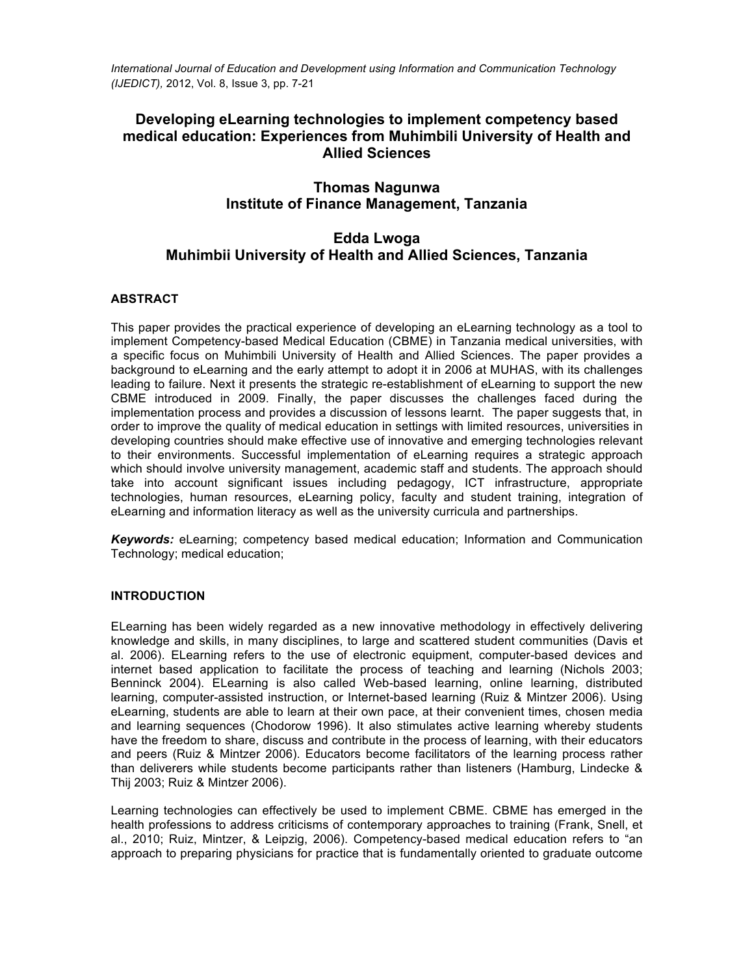*International Journal of Education and Development using Information and Communication Technology (IJEDICT),* 2012, Vol. 8, Issue 3, pp. 7-21

# **Developing eLearning technologies to implement competency based medical education: Experiences from Muhimbili University of Health and Allied Sciences**

# **Thomas Nagunwa Institute of Finance Management, Tanzania**

# **Edda Lwoga Muhimbii University of Health and Allied Sciences, Tanzania**

## **ABSTRACT**

This paper provides the practical experience of developing an eLearning technology as a tool to implement Competency-based Medical Education (CBME) in Tanzania medical universities, with a specific focus on Muhimbili University of Health and Allied Sciences. The paper provides a background to eLearning and the early attempt to adopt it in 2006 at MUHAS, with its challenges leading to failure. Next it presents the strategic re-establishment of eLearning to support the new CBME introduced in 2009. Finally, the paper discusses the challenges faced during the implementation process and provides a discussion of lessons learnt. The paper suggests that, in order to improve the quality of medical education in settings with limited resources, universities in developing countries should make effective use of innovative and emerging technologies relevant to their environments. Successful implementation of eLearning requires a strategic approach which should involve university management, academic staff and students. The approach should take into account significant issues including pedagogy, ICT infrastructure, appropriate technologies, human resources, eLearning policy, faculty and student training, integration of eLearning and information literacy as well as the university curricula and partnerships.

*Keywords:* eLearning; competency based medical education; Information and Communication Technology; medical education;

## **INTRODUCTION**

ELearning has been widely regarded as a new innovative methodology in effectively delivering knowledge and skills, in many disciplines, to large and scattered student communities (Davis et al. 2006). ELearning refers to the use of electronic equipment, computer-based devices and internet based application to facilitate the process of teaching and learning (Nichols 2003; Benninck 2004). ELearning is also called Web-based learning, online learning, distributed learning, computer-assisted instruction, or Internet-based learning (Ruiz & Mintzer 2006). Using eLearning, students are able to learn at their own pace, at their convenient times, chosen media and learning sequences (Chodorow 1996). It also stimulates active learning whereby students have the freedom to share, discuss and contribute in the process of learning, with their educators and peers (Ruiz & Mintzer 2006). Educators become facilitators of the learning process rather than deliverers while students become participants rather than listeners (Hamburg, Lindecke & Thij 2003; Ruiz & Mintzer 2006).

Learning technologies can effectively be used to implement CBME. CBME has emerged in the health professions to address criticisms of contemporary approaches to training (Frank, Snell, et al., 2010; Ruiz, Mintzer, & Leipzig, 2006). Competency-based medical education refers to "an approach to preparing physicians for practice that is fundamentally oriented to graduate outcome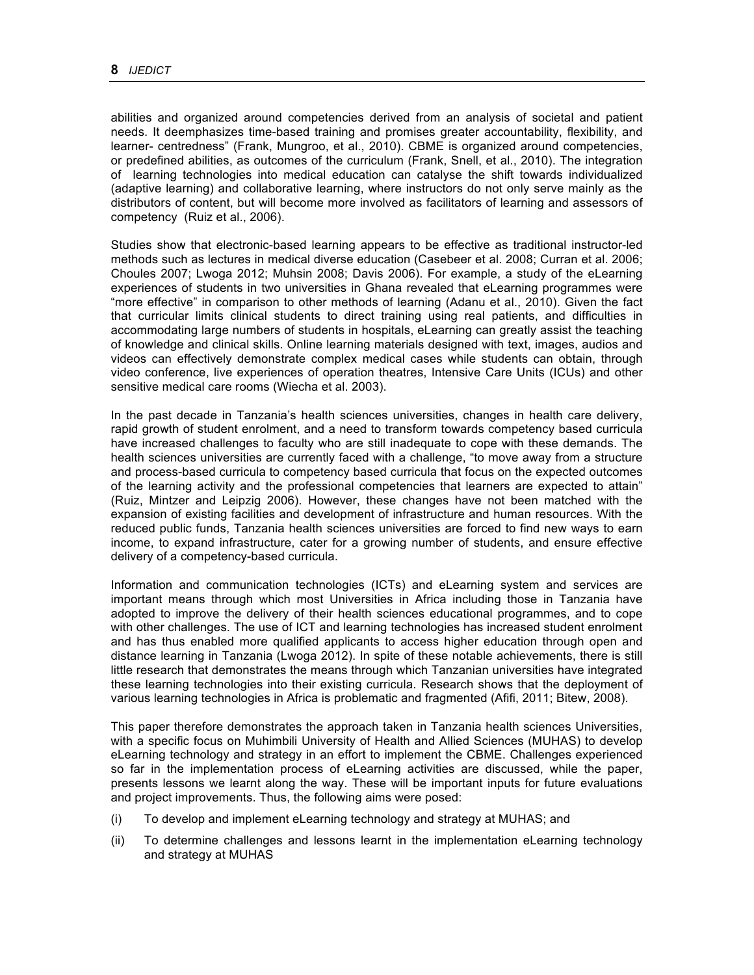abilities and organized around competencies derived from an analysis of societal and patient needs. It deemphasizes time-based training and promises greater accountability, flexibility, and learner- centredness" (Frank, Mungroo, et al., 2010). CBME is organized around competencies, or predefined abilities, as outcomes of the curriculum (Frank, Snell, et al., 2010). The integration of learning technologies into medical education can catalyse the shift towards individualized (adaptive learning) and collaborative learning, where instructors do not only serve mainly as the distributors of content, but will become more involved as facilitators of learning and assessors of competency (Ruiz et al., 2006).

Studies show that electronic-based learning appears to be effective as traditional instructor-led methods such as lectures in medical diverse education (Casebeer et al. 2008; Curran et al. 2006; Choules 2007; Lwoga 2012; Muhsin 2008; Davis 2006). For example, a study of the eLearning experiences of students in two universities in Ghana revealed that eLearning programmes were "more effective" in comparison to other methods of learning (Adanu et al., 2010). Given the fact that curricular limits clinical students to direct training using real patients, and difficulties in accommodating large numbers of students in hospitals, eLearning can greatly assist the teaching of knowledge and clinical skills. Online learning materials designed with text, images, audios and videos can effectively demonstrate complex medical cases while students can obtain, through video conference, live experiences of operation theatres, Intensive Care Units (ICUs) and other sensitive medical care rooms (Wiecha et al. 2003).

In the past decade in Tanzania's health sciences universities, changes in health care delivery, rapid growth of student enrolment, and a need to transform towards competency based curricula have increased challenges to faculty who are still inadequate to cope with these demands. The health sciences universities are currently faced with a challenge, "to move away from a structure and process-based curricula to competency based curricula that focus on the expected outcomes of the learning activity and the professional competencies that learners are expected to attain" (Ruiz, Mintzer and Leipzig 2006). However, these changes have not been matched with the expansion of existing facilities and development of infrastructure and human resources. With the reduced public funds, Tanzania health sciences universities are forced to find new ways to earn income, to expand infrastructure, cater for a growing number of students, and ensure effective delivery of a competency-based curricula.

Information and communication technologies (ICTs) and eLearning system and services are important means through which most Universities in Africa including those in Tanzania have adopted to improve the delivery of their health sciences educational programmes, and to cope with other challenges. The use of ICT and learning technologies has increased student enrolment and has thus enabled more qualified applicants to access higher education through open and distance learning in Tanzania (Lwoga 2012). In spite of these notable achievements, there is still little research that demonstrates the means through which Tanzanian universities have integrated these learning technologies into their existing curricula. Research shows that the deployment of various learning technologies in Africa is problematic and fragmented (Afifi, 2011; Bitew, 2008).

This paper therefore demonstrates the approach taken in Tanzania health sciences Universities, with a specific focus on Muhimbili University of Health and Allied Sciences (MUHAS) to develop eLearning technology and strategy in an effort to implement the CBME. Challenges experienced so far in the implementation process of eLearning activities are discussed, while the paper, presents lessons we learnt along the way. These will be important inputs for future evaluations and project improvements. Thus, the following aims were posed:

- (i) To develop and implement eLearning technology and strategy at MUHAS; and
- (ii) To determine challenges and lessons learnt in the implementation eLearning technology and strategy at MUHAS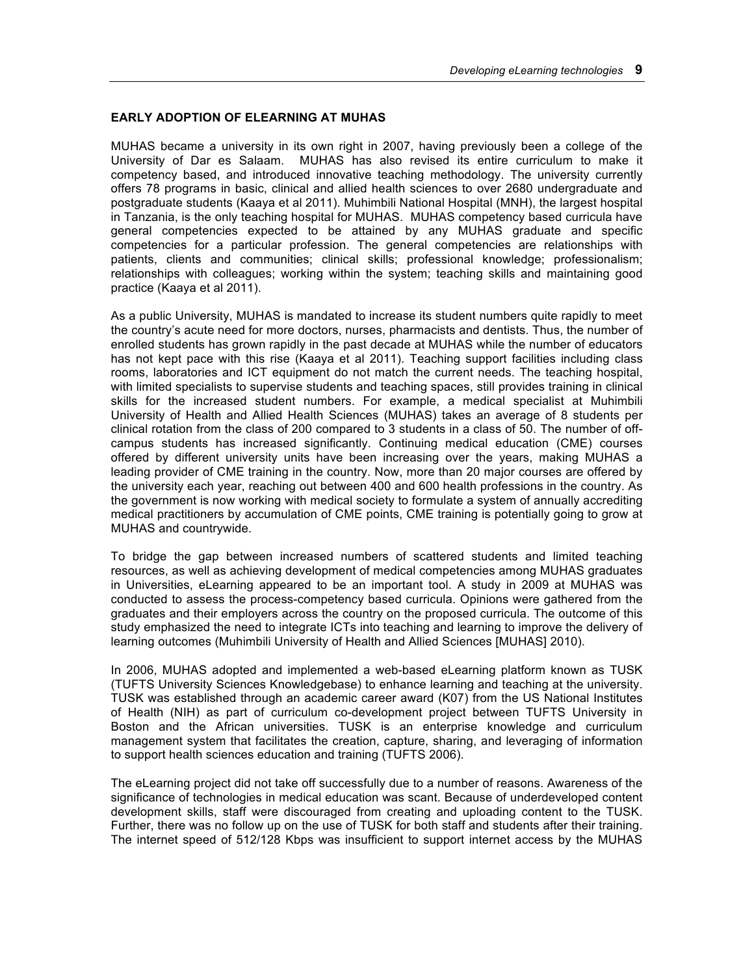### **EARLY ADOPTION OF ELEARNING AT MUHAS**

MUHAS became a university in its own right in 2007, having previously been a college of the University of Dar es Salaam. MUHAS has also revised its entire curriculum to make it competency based, and introduced innovative teaching methodology. The university currently offers 78 programs in basic, clinical and allied health sciences to over 2680 undergraduate and postgraduate students (Kaaya et al 2011). Muhimbili National Hospital (MNH), the largest hospital in Tanzania, is the only teaching hospital for MUHAS. MUHAS competency based curricula have general competencies expected to be attained by any MUHAS graduate and specific competencies for a particular profession. The general competencies are relationships with patients, clients and communities; clinical skills; professional knowledge; professionalism; relationships with colleagues; working within the system; teaching skills and maintaining good practice (Kaaya et al 2011).

As a public University, MUHAS is mandated to increase its student numbers quite rapidly to meet the country's acute need for more doctors, nurses, pharmacists and dentists. Thus, the number of enrolled students has grown rapidly in the past decade at MUHAS while the number of educators has not kept pace with this rise (Kaaya et al 2011). Teaching support facilities including class rooms, laboratories and ICT equipment do not match the current needs. The teaching hospital, with limited specialists to supervise students and teaching spaces, still provides training in clinical skills for the increased student numbers. For example, a medical specialist at Muhimbili University of Health and Allied Health Sciences (MUHAS) takes an average of 8 students per clinical rotation from the class of 200 compared to 3 students in a class of 50. The number of offcampus students has increased significantly. Continuing medical education (CME) courses offered by different university units have been increasing over the years, making MUHAS a leading provider of CME training in the country. Now, more than 20 major courses are offered by the university each year, reaching out between 400 and 600 health professions in the country. As the government is now working with medical society to formulate a system of annually accrediting medical practitioners by accumulation of CME points, CME training is potentially going to grow at MUHAS and countrywide.

To bridge the gap between increased numbers of scattered students and limited teaching resources, as well as achieving development of medical competencies among MUHAS graduates in Universities, eLearning appeared to be an important tool. A study in 2009 at MUHAS was conducted to assess the process-competency based curricula. Opinions were gathered from the graduates and their employers across the country on the proposed curricula. The outcome of this study emphasized the need to integrate ICTs into teaching and learning to improve the delivery of learning outcomes (Muhimbili University of Health and Allied Sciences [MUHAS] 2010).

In 2006, MUHAS adopted and implemented a web-based eLearning platform known as TUSK (TUFTS University Sciences Knowledgebase) to enhance learning and teaching at the university. TUSK was established through an academic career award (K07) from the US National Institutes of Health (NIH) as part of curriculum co-development project between TUFTS University in Boston and the African universities. TUSK is an enterprise knowledge and curriculum management system that facilitates the creation, capture, sharing, and leveraging of information to support health sciences education and training (TUFTS 2006).

The eLearning project did not take off successfully due to a number of reasons. Awareness of the significance of technologies in medical education was scant. Because of underdeveloped content development skills, staff were discouraged from creating and uploading content to the TUSK. Further, there was no follow up on the use of TUSK for both staff and students after their training. The internet speed of 512/128 Kbps was insufficient to support internet access by the MUHAS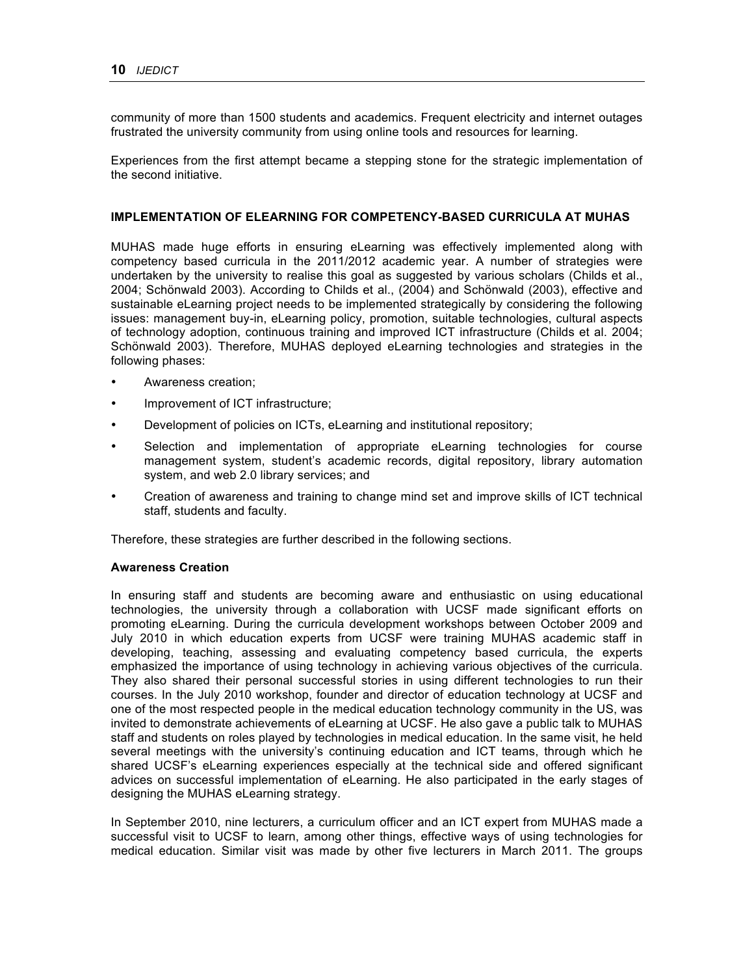community of more than 1500 students and academics. Frequent electricity and internet outages frustrated the university community from using online tools and resources for learning.

Experiences from the first attempt became a stepping stone for the strategic implementation of the second initiative.

### **IMPLEMENTATION OF ELEARNING FOR COMPETENCY-BASED CURRICULA AT MUHAS**

MUHAS made huge efforts in ensuring eLearning was effectively implemented along with competency based curricula in the 2011/2012 academic year. A number of strategies were undertaken by the university to realise this goal as suggested by various scholars (Childs et al., 2004; Schönwald 2003). According to Childs et al., (2004) and Schönwald (2003), effective and sustainable eLearning project needs to be implemented strategically by considering the following issues: management buy-in, eLearning policy, promotion, suitable technologies, cultural aspects of technology adoption, continuous training and improved ICT infrastructure (Childs et al. 2004; Schönwald 2003). Therefore, MUHAS deployed eLearning technologies and strategies in the following phases:

- Awareness creation;
- Improvement of ICT infrastructure;
- Development of policies on ICTs, eLearning and institutional repository;
- Selection and implementation of appropriate eLearning technologies for course management system, student's academic records, digital repository, library automation system, and web 2.0 library services; and
- Creation of awareness and training to change mind set and improve skills of ICT technical staff, students and faculty.

Therefore, these strategies are further described in the following sections.

#### **Awareness Creation**

In ensuring staff and students are becoming aware and enthusiastic on using educational technologies, the university through a collaboration with UCSF made significant efforts on promoting eLearning. During the curricula development workshops between October 2009 and July 2010 in which education experts from UCSF were training MUHAS academic staff in developing, teaching, assessing and evaluating competency based curricula, the experts emphasized the importance of using technology in achieving various objectives of the curricula. They also shared their personal successful stories in using different technologies to run their courses. In the July 2010 workshop, founder and director of education technology at UCSF and one of the most respected people in the medical education technology community in the US, was invited to demonstrate achievements of eLearning at UCSF. He also gave a public talk to MUHAS staff and students on roles played by technologies in medical education. In the same visit, he held several meetings with the university's continuing education and ICT teams, through which he shared UCSF's eLearning experiences especially at the technical side and offered significant advices on successful implementation of eLearning. He also participated in the early stages of designing the MUHAS eLearning strategy.

In September 2010, nine lecturers, a curriculum officer and an ICT expert from MUHAS made a successful visit to UCSF to learn, among other things, effective ways of using technologies for medical education. Similar visit was made by other five lecturers in March 2011. The groups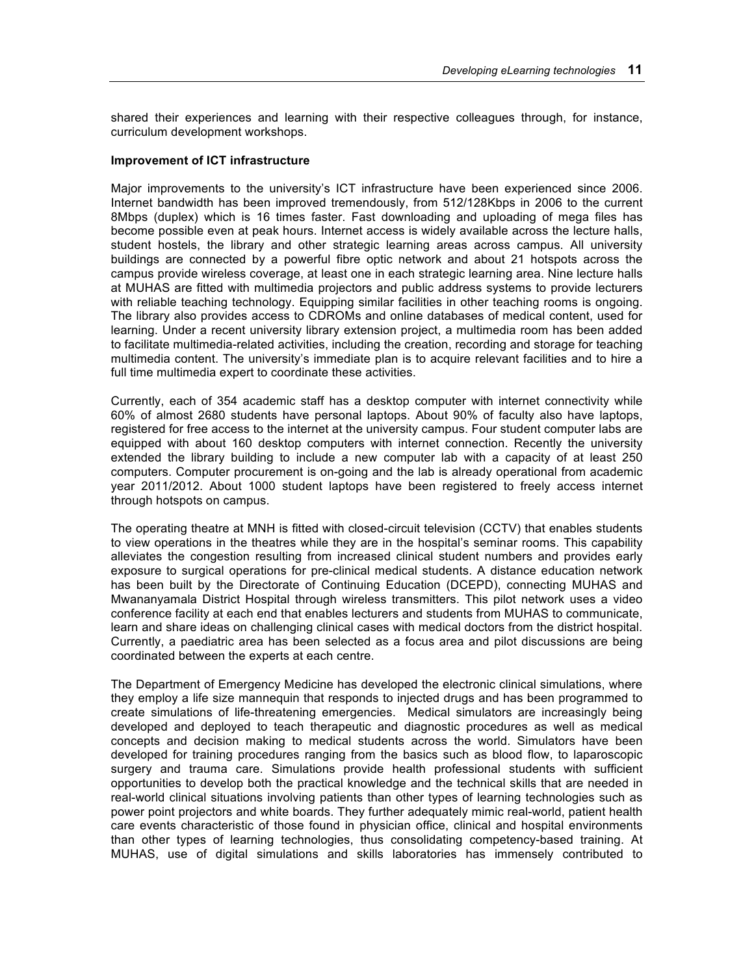shared their experiences and learning with their respective colleagues through, for instance, curriculum development workshops.

#### **Improvement of ICT infrastructure**

Major improvements to the university's ICT infrastructure have been experienced since 2006. Internet bandwidth has been improved tremendously, from 512/128Kbps in 2006 to the current 8Mbps (duplex) which is 16 times faster. Fast downloading and uploading of mega files has become possible even at peak hours. Internet access is widely available across the lecture halls, student hostels, the library and other strategic learning areas across campus. All university buildings are connected by a powerful fibre optic network and about 21 hotspots across the campus provide wireless coverage, at least one in each strategic learning area. Nine lecture halls at MUHAS are fitted with multimedia projectors and public address systems to provide lecturers with reliable teaching technology. Equipping similar facilities in other teaching rooms is ongoing. The library also provides access to CDROMs and online databases of medical content, used for learning. Under a recent university library extension project, a multimedia room has been added to facilitate multimedia-related activities, including the creation, recording and storage for teaching multimedia content. The university's immediate plan is to acquire relevant facilities and to hire a full time multimedia expert to coordinate these activities.

Currently, each of 354 academic staff has a desktop computer with internet connectivity while 60% of almost 2680 students have personal laptops. About 90% of faculty also have laptops, registered for free access to the internet at the university campus. Four student computer labs are equipped with about 160 desktop computers with internet connection. Recently the university extended the library building to include a new computer lab with a capacity of at least 250 computers. Computer procurement is on-going and the lab is already operational from academic year 2011/2012. About 1000 student laptops have been registered to freely access internet through hotspots on campus.

The operating theatre at MNH is fitted with closed-circuit television (CCTV) that enables students to view operations in the theatres while they are in the hospital's seminar rooms. This capability alleviates the congestion resulting from increased clinical student numbers and provides early exposure to surgical operations for pre-clinical medical students. A distance education network has been built by the Directorate of Continuing Education (DCEPD), connecting MUHAS and Mwananyamala District Hospital through wireless transmitters. This pilot network uses a video conference facility at each end that enables lecturers and students from MUHAS to communicate, learn and share ideas on challenging clinical cases with medical doctors from the district hospital. Currently, a paediatric area has been selected as a focus area and pilot discussions are being coordinated between the experts at each centre.

The Department of Emergency Medicine has developed the electronic clinical simulations, where they employ a life size mannequin that responds to injected drugs and has been programmed to create simulations of life-threatening emergencies. Medical simulators are increasingly being developed and deployed to teach therapeutic and diagnostic procedures as well as medical concepts and decision making to medical students across the world. Simulators have been developed for training procedures ranging from the basics such as blood flow, to laparoscopic surgery and trauma care. Simulations provide health professional students with sufficient opportunities to develop both the practical knowledge and the technical skills that are needed in real-world clinical situations involving patients than other types of learning technologies such as power point projectors and white boards. They further adequately mimic real-world, patient health care events characteristic of those found in physician office, clinical and hospital environments than other types of learning technologies, thus consolidating competency-based training. At MUHAS, use of digital simulations and skills laboratories has immensely contributed to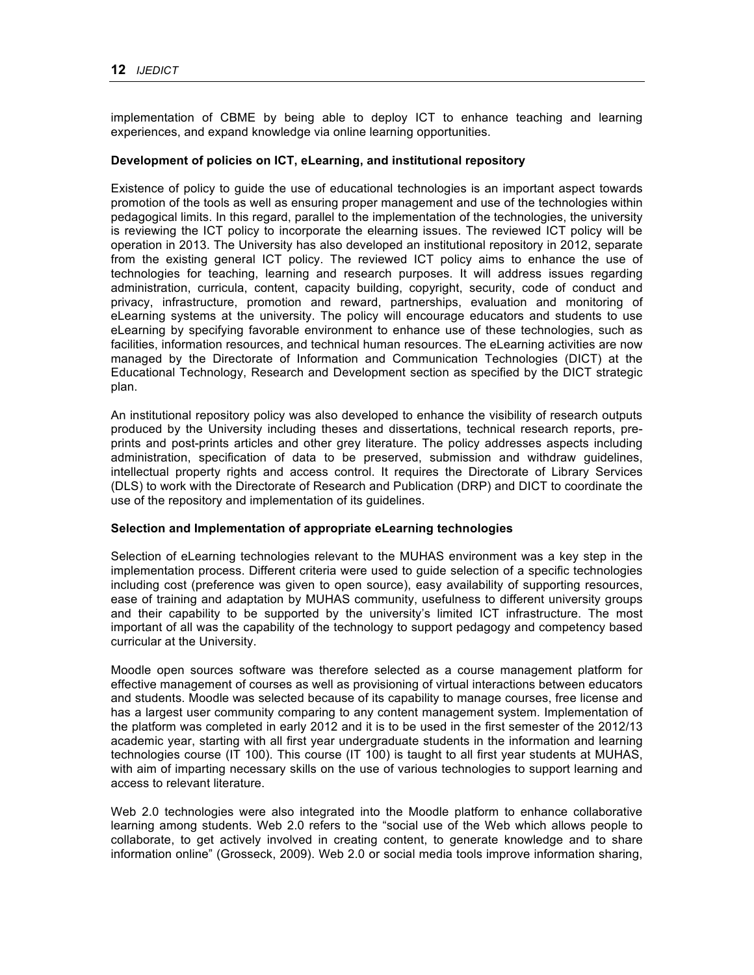implementation of CBME by being able to deploy ICT to enhance teaching and learning experiences, and expand knowledge via online learning opportunities.

#### **Development of policies on ICT, eLearning, and institutional repository**

Existence of policy to guide the use of educational technologies is an important aspect towards promotion of the tools as well as ensuring proper management and use of the technologies within pedagogical limits. In this regard, parallel to the implementation of the technologies, the university is reviewing the ICT policy to incorporate the elearning issues. The reviewed ICT policy will be operation in 2013. The University has also developed an institutional repository in 2012, separate from the existing general ICT policy. The reviewed ICT policy aims to enhance the use of technologies for teaching, learning and research purposes. It will address issues regarding administration, curricula, content, capacity building, copyright, security, code of conduct and privacy, infrastructure, promotion and reward, partnerships, evaluation and monitoring of eLearning systems at the university. The policy will encourage educators and students to use eLearning by specifying favorable environment to enhance use of these technologies, such as facilities, information resources, and technical human resources. The eLearning activities are now managed by the Directorate of Information and Communication Technologies (DICT) at the Educational Technology, Research and Development section as specified by the DICT strategic plan.

An institutional repository policy was also developed to enhance the visibility of research outputs produced by the University including theses and dissertations, technical research reports, preprints and post-prints articles and other grey literature. The policy addresses aspects including administration, specification of data to be preserved, submission and withdraw guidelines, intellectual property rights and access control. It requires the Directorate of Library Services (DLS) to work with the Directorate of Research and Publication (DRP) and DICT to coordinate the use of the repository and implementation of its guidelines.

#### **Selection and Implementation of appropriate eLearning technologies**

Selection of eLearning technologies relevant to the MUHAS environment was a key step in the implementation process. Different criteria were used to guide selection of a specific technologies including cost (preference was given to open source), easy availability of supporting resources, ease of training and adaptation by MUHAS community, usefulness to different university groups and their capability to be supported by the university's limited ICT infrastructure. The most important of all was the capability of the technology to support pedagogy and competency based curricular at the University.

Moodle open sources software was therefore selected as a course management platform for effective management of courses as well as provisioning of virtual interactions between educators and students. Moodle was selected because of its capability to manage courses, free license and has a largest user community comparing to any content management system. Implementation of the platform was completed in early 2012 and it is to be used in the first semester of the 2012/13 academic year, starting with all first year undergraduate students in the information and learning technologies course (IT 100). This course (IT 100) is taught to all first year students at MUHAS, with aim of imparting necessary skills on the use of various technologies to support learning and access to relevant literature.

Web 2.0 technologies were also integrated into the Moodle platform to enhance collaborative learning among students. Web 2.0 refers to the "social use of the Web which allows people to collaborate, to get actively involved in creating content, to generate knowledge and to share information online" (Grosseck, 2009). Web 2.0 or social media tools improve information sharing,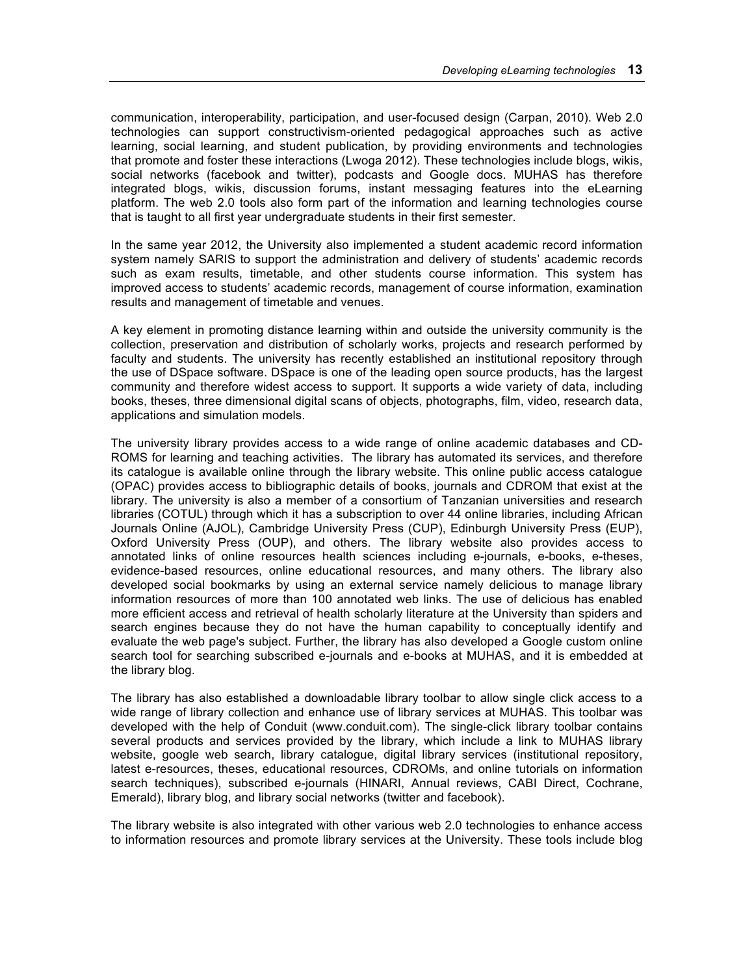communication, interoperability, participation, and user-focused design (Carpan, 2010). Web 2.0 technologies can support constructivism-oriented pedagogical approaches such as active learning, social learning, and student publication, by providing environments and technologies that promote and foster these interactions (Lwoga 2012). These technologies include blogs, wikis, social networks (facebook and twitter), podcasts and Google docs. MUHAS has therefore integrated blogs, wikis, discussion forums, instant messaging features into the eLearning platform. The web 2.0 tools also form part of the information and learning technologies course that is taught to all first year undergraduate students in their first semester.

In the same year 2012, the University also implemented a student academic record information system namely SARIS to support the administration and delivery of students' academic records such as exam results, timetable, and other students course information. This system has improved access to students' academic records, management of course information, examination results and management of timetable and venues.

A key element in promoting distance learning within and outside the university community is the collection, preservation and distribution of scholarly works, projects and research performed by faculty and students. The university has recently established an institutional repository through the use of DSpace software. DSpace is one of the leading open source products, has the largest community and therefore widest access to support. It supports a wide variety of data, including books, theses, three dimensional digital scans of objects, photographs, film, video, research data, applications and simulation models.

The university library provides access to a wide range of online academic databases and CD-ROMS for learning and teaching activities. The library has automated its services, and therefore its catalogue is available online through the library website. This online public access catalogue (OPAC) provides access to bibliographic details of books, journals and CDROM that exist at the library. The university is also a member of a consortium of Tanzanian universities and research libraries (COTUL) through which it has a subscription to over 44 online libraries, including African Journals Online (AJOL), Cambridge University Press (CUP), Edinburgh University Press (EUP), Oxford University Press (OUP), and others. The library website also provides access to annotated links of online resources health sciences including e-journals, e-books, e-theses, evidence-based resources, online educational resources, and many others. The library also developed social bookmarks by using an external service namely delicious to manage library information resources of more than 100 annotated web links. The use of delicious has enabled more efficient access and retrieval of health scholarly literature at the University than spiders and search engines because they do not have the human capability to conceptually identify and evaluate the web page's subject. Further, the library has also developed a Google custom online search tool for searching subscribed e-journals and e-books at MUHAS, and it is embedded at the library blog.

The library has also established a downloadable library toolbar to allow single click access to a wide range of library collection and enhance use of library services at MUHAS. This toolbar was developed with the help of Conduit (www.conduit.com). The single-click library toolbar contains several products and services provided by the library, which include a link to MUHAS library website, google web search, library catalogue, digital library services (institutional repository, latest e-resources, theses, educational resources, CDROMs, and online tutorials on information search techniques), subscribed e-journals (HINARI, Annual reviews, CABI Direct, Cochrane, Emerald), library blog, and library social networks (twitter and facebook).

The library website is also integrated with other various web 2.0 technologies to enhance access to information resources and promote library services at the University. These tools include blog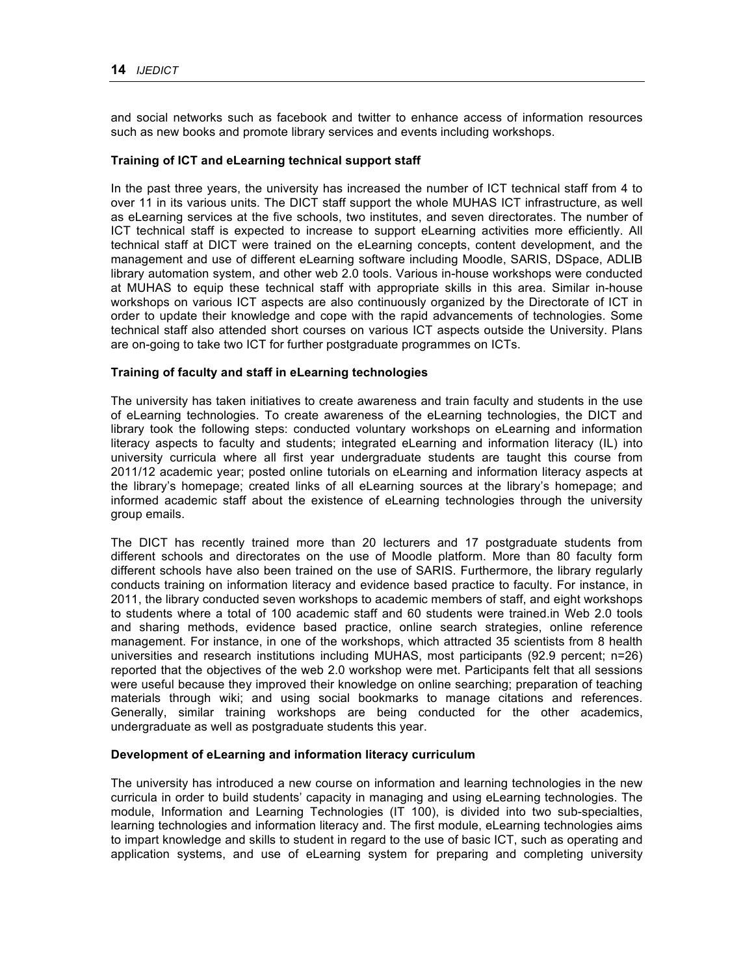and social networks such as facebook and twitter to enhance access of information resources such as new books and promote library services and events including workshops.

#### **Training of ICT and eLearning technical support staff**

In the past three years, the university has increased the number of ICT technical staff from 4 to over 11 in its various units. The DICT staff support the whole MUHAS ICT infrastructure, as well as eLearning services at the five schools, two institutes, and seven directorates. The number of ICT technical staff is expected to increase to support eLearning activities more efficiently. All technical staff at DICT were trained on the eLearning concepts, content development, and the management and use of different eLearning software including Moodle, SARIS, DSpace, ADLIB library automation system, and other web 2.0 tools. Various in-house workshops were conducted at MUHAS to equip these technical staff with appropriate skills in this area. Similar in-house workshops on various ICT aspects are also continuously organized by the Directorate of ICT in order to update their knowledge and cope with the rapid advancements of technologies. Some technical staff also attended short courses on various ICT aspects outside the University. Plans are on-going to take two ICT for further postgraduate programmes on ICTs.

#### **Training of faculty and staff in eLearning technologies**

The university has taken initiatives to create awareness and train faculty and students in the use of eLearning technologies. To create awareness of the eLearning technologies, the DICT and library took the following steps: conducted voluntary workshops on eLearning and information literacy aspects to faculty and students; integrated eLearning and information literacy (IL) into university curricula where all first year undergraduate students are taught this course from 2011/12 academic year; posted online tutorials on eLearning and information literacy aspects at the library's homepage; created links of all eLearning sources at the library's homepage; and informed academic staff about the existence of eLearning technologies through the university group emails.

The DICT has recently trained more than 20 lecturers and 17 postgraduate students from different schools and directorates on the use of Moodle platform. More than 80 faculty form different schools have also been trained on the use of SARIS. Furthermore, the library regularly conducts training on information literacy and evidence based practice to faculty. For instance, in 2011, the library conducted seven workshops to academic members of staff, and eight workshops to students where a total of 100 academic staff and 60 students were trained.in Web 2.0 tools and sharing methods, evidence based practice, online search strategies, online reference management. For instance, in one of the workshops, which attracted 35 scientists from 8 health universities and research institutions including MUHAS, most participants (92.9 percent; n=26) reported that the objectives of the web 2.0 workshop were met. Participants felt that all sessions were useful because they improved their knowledge on online searching; preparation of teaching materials through wiki; and using social bookmarks to manage citations and references. Generally, similar training workshops are being conducted for the other academics, undergraduate as well as postgraduate students this year.

#### **Development of eLearning and information literacy curriculum**

The university has introduced a new course on information and learning technologies in the new curricula in order to build students' capacity in managing and using eLearning technologies. The module, Information and Learning Technologies (IT 100), is divided into two sub-specialties, learning technologies and information literacy and. The first module, eLearning technologies aims to impart knowledge and skills to student in regard to the use of basic ICT, such as operating and application systems, and use of eLearning system for preparing and completing university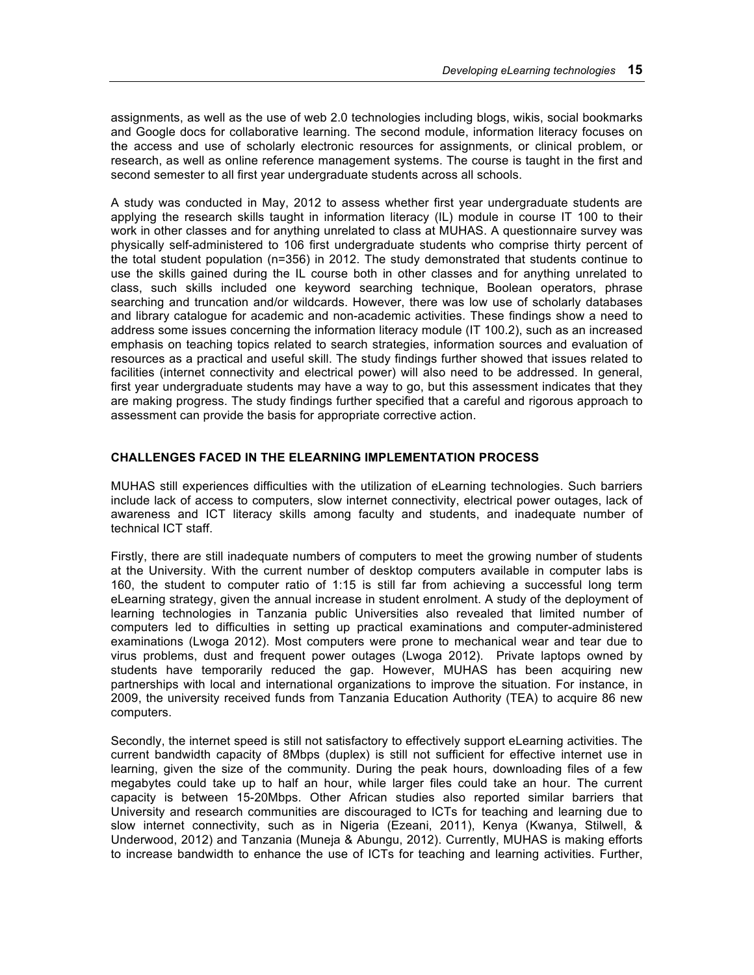assignments, as well as the use of web 2.0 technologies including blogs, wikis, social bookmarks and Google docs for collaborative learning. The second module, information literacy focuses on the access and use of scholarly electronic resources for assignments, or clinical problem, or research, as well as online reference management systems. The course is taught in the first and second semester to all first year undergraduate students across all schools.

A study was conducted in May, 2012 to assess whether first year undergraduate students are applying the research skills taught in information literacy (IL) module in course IT 100 to their work in other classes and for anything unrelated to class at MUHAS. A questionnaire survey was physically self-administered to 106 first undergraduate students who comprise thirty percent of the total student population (n=356) in 2012. The study demonstrated that students continue to use the skills gained during the IL course both in other classes and for anything unrelated to class, such skills included one keyword searching technique, Boolean operators, phrase searching and truncation and/or wildcards. However, there was low use of scholarly databases and library catalogue for academic and non-academic activities. These findings show a need to address some issues concerning the information literacy module (IT 100.2), such as an increased emphasis on teaching topics related to search strategies, information sources and evaluation of resources as a practical and useful skill. The study findings further showed that issues related to facilities (internet connectivity and electrical power) will also need to be addressed. In general, first year undergraduate students may have a way to go, but this assessment indicates that they are making progress. The study findings further specified that a careful and rigorous approach to assessment can provide the basis for appropriate corrective action.

### **CHALLENGES FACED IN THE ELEARNING IMPLEMENTATION PROCESS**

MUHAS still experiences difficulties with the utilization of eLearning technologies. Such barriers include lack of access to computers, slow internet connectivity, electrical power outages, lack of awareness and ICT literacy skills among faculty and students, and inadequate number of technical ICT staff.

Firstly, there are still inadequate numbers of computers to meet the growing number of students at the University. With the current number of desktop computers available in computer labs is 160, the student to computer ratio of 1:15 is still far from achieving a successful long term eLearning strategy, given the annual increase in student enrolment. A study of the deployment of learning technologies in Tanzania public Universities also revealed that limited number of computers led to difficulties in setting up practical examinations and computer-administered examinations (Lwoga 2012). Most computers were prone to mechanical wear and tear due to virus problems, dust and frequent power outages (Lwoga 2012). Private laptops owned by students have temporarily reduced the gap. However, MUHAS has been acquiring new partnerships with local and international organizations to improve the situation. For instance, in 2009, the university received funds from Tanzania Education Authority (TEA) to acquire 86 new computers.

Secondly, the internet speed is still not satisfactory to effectively support eLearning activities. The current bandwidth capacity of 8Mbps (duplex) is still not sufficient for effective internet use in learning, given the size of the community. During the peak hours, downloading files of a few megabytes could take up to half an hour, while larger files could take an hour. The current capacity is between 15-20Mbps. Other African studies also reported similar barriers that University and research communities are discouraged to ICTs for teaching and learning due to slow internet connectivity, such as in Nigeria (Ezeani, 2011), Kenya (Kwanya, Stilwell, & Underwood, 2012) and Tanzania (Muneja & Abungu, 2012). Currently, MUHAS is making efforts to increase bandwidth to enhance the use of ICTs for teaching and learning activities. Further,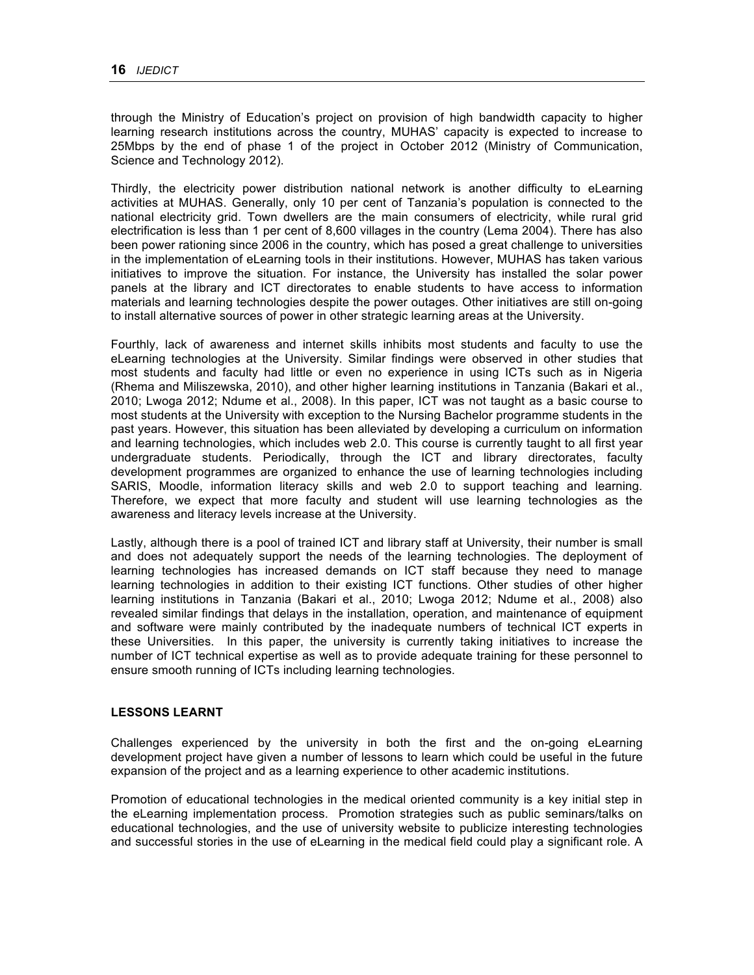through the Ministry of Education's project on provision of high bandwidth capacity to higher learning research institutions across the country, MUHAS' capacity is expected to increase to 25Mbps by the end of phase 1 of the project in October 2012 (Ministry of Communication, Science and Technology 2012).

Thirdly, the electricity power distribution national network is another difficulty to eLearning activities at MUHAS. Generally, only 10 per cent of Tanzania's population is connected to the national electricity grid. Town dwellers are the main consumers of electricity, while rural grid electrification is less than 1 per cent of 8,600 villages in the country (Lema 2004). There has also been power rationing since 2006 in the country, which has posed a great challenge to universities in the implementation of eLearning tools in their institutions. However, MUHAS has taken various initiatives to improve the situation. For instance, the University has installed the solar power panels at the library and ICT directorates to enable students to have access to information materials and learning technologies despite the power outages. Other initiatives are still on-going to install alternative sources of power in other strategic learning areas at the University.

Fourthly, lack of awareness and internet skills inhibits most students and faculty to use the eLearning technologies at the University. Similar findings were observed in other studies that most students and faculty had little or even no experience in using ICTs such as in Nigeria (Rhema and Miliszewska, 2010), and other higher learning institutions in Tanzania (Bakari et al., 2010; Lwoga 2012; Ndume et al., 2008). In this paper, ICT was not taught as a basic course to most students at the University with exception to the Nursing Bachelor programme students in the past years. However, this situation has been alleviated by developing a curriculum on information and learning technologies, which includes web 2.0. This course is currently taught to all first year undergraduate students. Periodically, through the ICT and library directorates, faculty development programmes are organized to enhance the use of learning technologies including SARIS, Moodle, information literacy skills and web 2.0 to support teaching and learning. Therefore, we expect that more faculty and student will use learning technologies as the awareness and literacy levels increase at the University.

Lastly, although there is a pool of trained ICT and library staff at University, their number is small and does not adequately support the needs of the learning technologies. The deployment of learning technologies has increased demands on ICT staff because they need to manage learning technologies in addition to their existing ICT functions. Other studies of other higher learning institutions in Tanzania (Bakari et al., 2010; Lwoga 2012; Ndume et al., 2008) also revealed similar findings that delays in the installation, operation, and maintenance of equipment and software were mainly contributed by the inadequate numbers of technical ICT experts in these Universities. In this paper, the university is currently taking initiatives to increase the number of ICT technical expertise as well as to provide adequate training for these personnel to ensure smooth running of ICTs including learning technologies.

#### **LESSONS LEARNT**

Challenges experienced by the university in both the first and the on-going eLearning development project have given a number of lessons to learn which could be useful in the future expansion of the project and as a learning experience to other academic institutions.

Promotion of educational technologies in the medical oriented community is a key initial step in the eLearning implementation process. Promotion strategies such as public seminars/talks on educational technologies, and the use of university website to publicize interesting technologies and successful stories in the use of eLearning in the medical field could play a significant role. A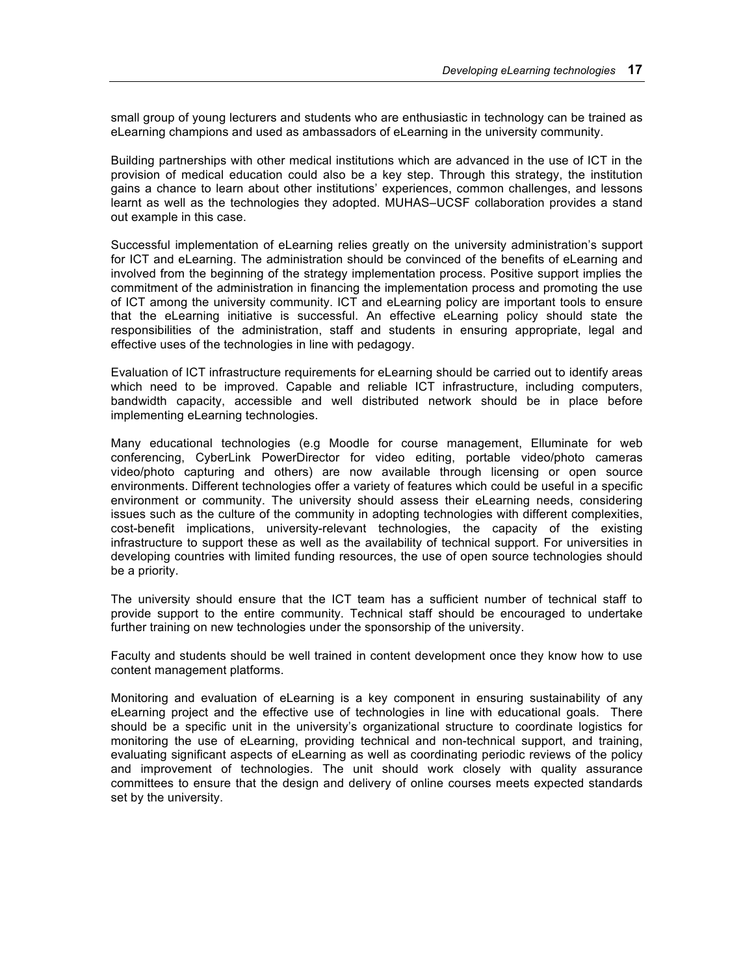small group of young lecturers and students who are enthusiastic in technology can be trained as eLearning champions and used as ambassadors of eLearning in the university community.

Building partnerships with other medical institutions which are advanced in the use of ICT in the provision of medical education could also be a key step. Through this strategy, the institution gains a chance to learn about other institutions' experiences, common challenges, and lessons learnt as well as the technologies they adopted. MUHAS–UCSF collaboration provides a stand out example in this case.

Successful implementation of eLearning relies greatly on the university administration's support for ICT and eLearning. The administration should be convinced of the benefits of eLearning and involved from the beginning of the strategy implementation process. Positive support implies the commitment of the administration in financing the implementation process and promoting the use of ICT among the university community. ICT and eLearning policy are important tools to ensure that the eLearning initiative is successful. An effective eLearning policy should state the responsibilities of the administration, staff and students in ensuring appropriate, legal and effective uses of the technologies in line with pedagogy.

Evaluation of ICT infrastructure requirements for eLearning should be carried out to identify areas which need to be improved. Capable and reliable ICT infrastructure, including computers, bandwidth capacity, accessible and well distributed network should be in place before implementing eLearning technologies.

Many educational technologies (e.g Moodle for course management, Elluminate for web conferencing, CyberLink PowerDirector for video editing, portable video/photo cameras video/photo capturing and others) are now available through licensing or open source environments. Different technologies offer a variety of features which could be useful in a specific environment or community. The university should assess their eLearning needs, considering issues such as the culture of the community in adopting technologies with different complexities, cost-benefit implications, university-relevant technologies, the capacity of the existing infrastructure to support these as well as the availability of technical support. For universities in developing countries with limited funding resources, the use of open source technologies should be a priority.

The university should ensure that the ICT team has a sufficient number of technical staff to provide support to the entire community. Technical staff should be encouraged to undertake further training on new technologies under the sponsorship of the university.

Faculty and students should be well trained in content development once they know how to use content management platforms.

Monitoring and evaluation of eLearning is a key component in ensuring sustainability of any eLearning project and the effective use of technologies in line with educational goals. There should be a specific unit in the university's organizational structure to coordinate logistics for monitoring the use of eLearning, providing technical and non-technical support, and training, evaluating significant aspects of eLearning as well as coordinating periodic reviews of the policy and improvement of technologies. The unit should work closely with quality assurance committees to ensure that the design and delivery of online courses meets expected standards set by the university.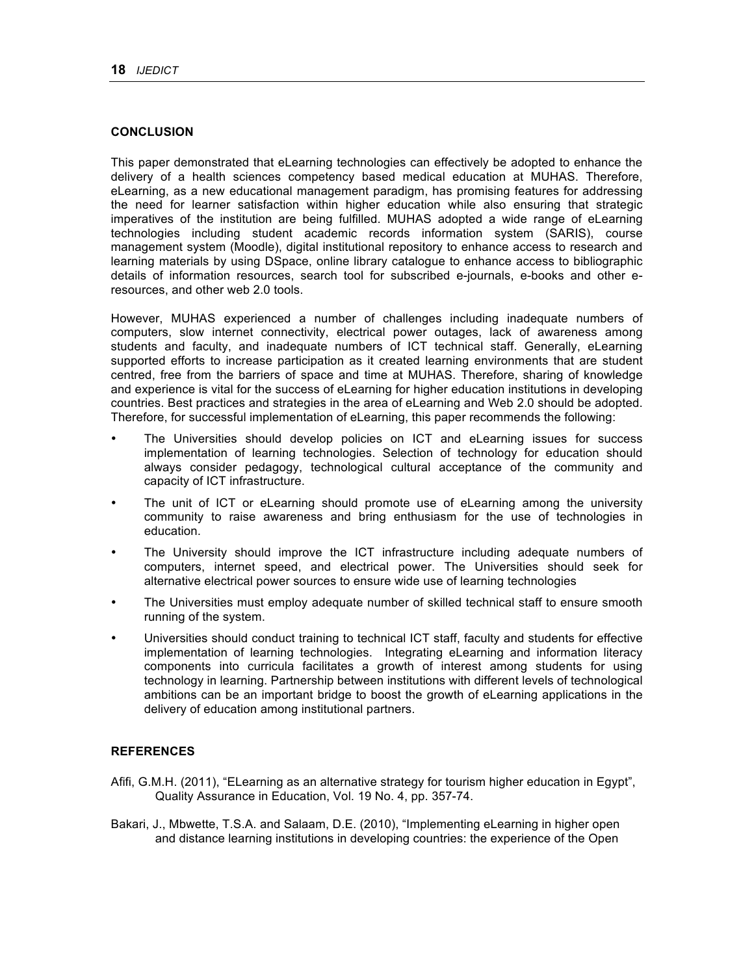#### **CONCLUSION**

This paper demonstrated that eLearning technologies can effectively be adopted to enhance the delivery of a health sciences competency based medical education at MUHAS. Therefore, eLearning, as a new educational management paradigm, has promising features for addressing the need for learner satisfaction within higher education while also ensuring that strategic imperatives of the institution are being fulfilled. MUHAS adopted a wide range of eLearning technologies including student academic records information system (SARIS), course management system (Moodle), digital institutional repository to enhance access to research and learning materials by using DSpace, online library catalogue to enhance access to bibliographic details of information resources, search tool for subscribed e-journals, e-books and other eresources, and other web 2.0 tools.

However, MUHAS experienced a number of challenges including inadequate numbers of computers, slow internet connectivity, electrical power outages, lack of awareness among students and faculty, and inadequate numbers of ICT technical staff. Generally, eLearning supported efforts to increase participation as it created learning environments that are student centred, free from the barriers of space and time at MUHAS. Therefore, sharing of knowledge and experience is vital for the success of eLearning for higher education institutions in developing countries. Best practices and strategies in the area of eLearning and Web 2.0 should be adopted. Therefore, for successful implementation of eLearning, this paper recommends the following:

- The Universities should develop policies on ICT and eLearning issues for success implementation of learning technologies. Selection of technology for education should always consider pedagogy, technological cultural acceptance of the community and capacity of ICT infrastructure.
- The unit of ICT or eLearning should promote use of eLearning among the university community to raise awareness and bring enthusiasm for the use of technologies in education.
- The University should improve the ICT infrastructure including adequate numbers of computers, internet speed, and electrical power. The Universities should seek for alternative electrical power sources to ensure wide use of learning technologies
- The Universities must employ adequate number of skilled technical staff to ensure smooth running of the system.
- Universities should conduct training to technical ICT staff, faculty and students for effective implementation of learning technologies. Integrating eLearning and information literacy components into curricula facilitates a growth of interest among students for using technology in learning. Partnership between institutions with different levels of technological ambitions can be an important bridge to boost the growth of eLearning applications in the delivery of education among institutional partners.

## **REFERENCES**

- Afifi, G.M.H. (2011), "ELearning as an alternative strategy for tourism higher education in Egypt", Quality Assurance in Education, Vol. 19 No. 4, pp. 357-74.
- Bakari, J., Mbwette, T.S.A. and Salaam, D.E. (2010), "Implementing eLearning in higher open and distance learning institutions in developing countries: the experience of the Open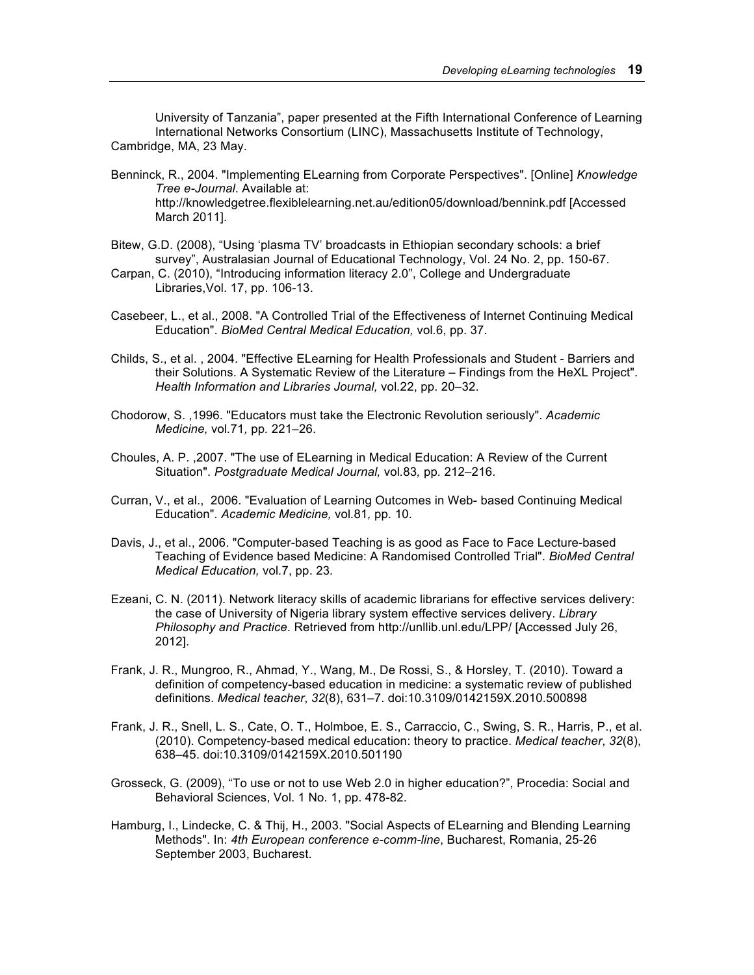University of Tanzania", paper presented at the Fifth International Conference of Learning International Networks Consortium (LINC), Massachusetts Institute of Technology, Cambridge, MA, 23 May.

- Benninck, R., 2004. "Implementing ELearning from Corporate Perspectives". [Online] *Knowledge Tree e-Journal*. Available at: http://knowledgetree.flexiblelearning.net.au/edition05/download/bennink.pdf [Accessed March 2011].
- Bitew, G.D. (2008), "Using 'plasma TV' broadcasts in Ethiopian secondary schools: a brief survey", Australasian Journal of Educational Technology, Vol. 24 No. 2, pp. 150-67.
- Carpan, C. (2010), "Introducing information literacy 2.0", College and Undergraduate Libraries,Vol. 17, pp. 106-13.
- Casebeer, L., et al., 2008. "A Controlled Trial of the Effectiveness of Internet Continuing Medical Education". *BioMed Central Medical Education,* vol*.*6, pp. 37.
- Childs, S., et al. , 2004. "Effective ELearning for Health Professionals and Student Barriers and their Solutions. A Systematic Review of the Literature – Findings from the HeXL Project". *Health Information and Libraries Journal,* vol*.*22, pp. 20–32.
- Chodorow, S. ,1996. "Educators must take the Electronic Revolution seriously". *Academic Medicine,* vol*.*71*,* pp*.* 221–26.
- Choules, A. P. ,2007. "The use of ELearning in Medical Education: A Review of the Current Situation". *Postgraduate Medical Journal,* vol*.*83*,* pp*.* 212–216.
- Curran, V., et al., 2006. "Evaluation of Learning Outcomes in Web- based Continuing Medical Education"*. Academic Medicine,* vol*.*81*,* pp*.* 10.
- Davis, J., et al., 2006. "Computer-based Teaching is as good as Face to Face Lecture-based Teaching of Evidence based Medicine: A Randomised Controlled Trial". *BioMed Central Medical Education,* vol*.*7, pp. 23*.*
- Ezeani, C. N. (2011). Network literacy skills of academic librarians for effective services delivery: the case of University of Nigeria library system effective services delivery. *Library Philosophy and Practice*. Retrieved from http://unllib.unl.edu/LPP/ [Accessed July 26, 2012].
- Frank, J. R., Mungroo, R., Ahmad, Y., Wang, M., De Rossi, S., & Horsley, T. (2010). Toward a definition of competency-based education in medicine: a systematic review of published definitions. *Medical teacher*, *32*(8), 631–7. doi:10.3109/0142159X.2010.500898
- Frank, J. R., Snell, L. S., Cate, O. T., Holmboe, E. S., Carraccio, C., Swing, S. R., Harris, P., et al. (2010). Competency-based medical education: theory to practice. *Medical teacher*, *32*(8), 638–45. doi:10.3109/0142159X.2010.501190
- Grosseck, G. (2009), "To use or not to use Web 2.0 in higher education?", Procedia: Social and Behavioral Sciences, Vol. 1 No. 1, pp. 478-82.
- Hamburg, I., Lindecke, C. & Thij, H., 2003. "Social Aspects of ELearning and Blending Learning Methods". In: *4th European conference e-comm-line*, Bucharest, Romania, 25-26 September 2003, Bucharest.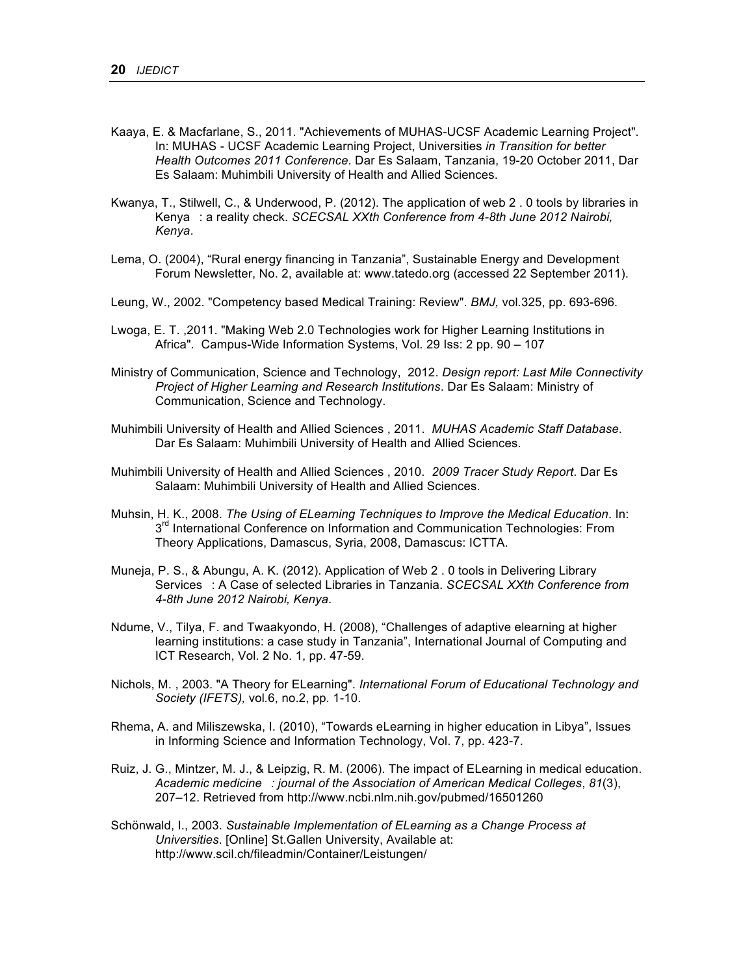- Kaaya, E. & Macfarlane, S., 2011. "Achievements of MUHAS-UCSF Academic Learning Project". In: MUHAS - UCSF Academic Learning Project, Universities *in Transition for better Health Outcomes 2011 Conference*. Dar Es Salaam, Tanzania, 19-20 October 2011, Dar Es Salaam: Muhimbili University of Health and Allied Sciences.
- Kwanya, T., Stilwell, C., & Underwood, P. (2012). The application of web 2 . 0 tools by libraries in Kenya: a reality check. *SCECSAL XXth Conference from 4-8th June 2012 Nairobi*, *Kenya*.
- Lema, O. (2004), "Rural energy financing in Tanzania", Sustainable Energy and Development Forum Newsletter, No. 2, available at: www.tatedo.org (accessed 22 September 2011).
- Leung, W., 2002. "Competency based Medical Training: Review". *BMJ,* vol*.*325, pp. 693-696*.*
- Lwoga, E. T. ,2011. "Making Web 2.0 Technologies work for Higher Learning Institutions in Africa"*.* Campus-Wide Information Systems, Vol. 29 Iss: 2 pp. 90 – 107
- Ministry of Communication, Science and Technology, 2012. *Design report: Last Mile Connectivity Project of Higher Learning and Research Institutions*. Dar Es Salaam: Ministry of Communication, Science and Technology.
- Muhimbili University of Health and Allied Sciences , 2011. *MUHAS Academic Staff Database*. Dar Es Salaam: Muhimbili University of Health and Allied Sciences.
- Muhimbili University of Health and Allied Sciences , 2010. *2009 Tracer Study Report*. Dar Es Salaam: Muhimbili University of Health and Allied Sciences.
- Muhsin, H. K., 2008. *The Using of ELearning Techniques to Improve the Medical Education*. In: 3<sup>rd</sup> International Conference on Information and Communication Technologies: From Theory Applications, Damascus, Syria, 2008, Damascus: ICTTA.
- Muneja, P. S., & Abungu, A. K. (2012). Application of Web 2 . 0 tools in Delivering Library Services: A Case of selected Libraries in Tanzania. *SCECSAL XXth Conference from 4-8th June 2012 Nairobi, Kenya*.
- Ndume, V., Tilya, F. and Twaakyondo, H. (2008), "Challenges of adaptive elearning at higher learning institutions: a case study in Tanzania", International Journal of Computing and ICT Research, Vol. 2 No. 1, pp. 47-59.
- Nichols, M. , 2003. "A Theory for ELearning". *International Forum of Educational Technology and Society (IFETS),* vol*.*6, no.2, pp*.* 1-10.
- Rhema, A. and Miliszewska, I. (2010), "Towards eLearning in higher education in Libya", Issues in Informing Science and Information Technology, Vol. 7, pp. 423-7.
- Ruiz, J. G., Mintzer, M. J., & Leipzig, R. M. (2006). The impact of ELearning in medical education. *Academic medicine: journal of the Association of American Medical Colleges*, *81*(3), 207–12. Retrieved from http://www.ncbi.nlm.nih.gov/pubmed/16501260
- Schönwald, I., 2003. *Sustainable Implementation of ELearning as a Change Process at Universities*. [Online] St.Gallen University, Available at: http://www.scil.ch/fileadmin/Container/Leistungen/